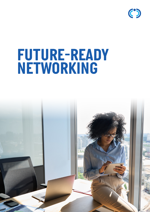

# *FUTURE-READY NETWORKING*

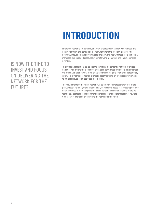## *INTRODUCTION*

*Enterprise networks are complex, only truly understood by the few who manage and administer them, and berated by the many for whom the problem is always "the network". Throughout the past two years "the network" has withstood the significantly increased demands and pressures of remote work, manufacturing and eCommerce activities.* 

*This sweeping statement belies a complex reality. The corporate network of offices and buildings around the globe have often been dormant as few people have attended the office. And "the network" of which we speak is no longer a singular and proprietary entity, it is a "network of networks" that bridges traditional on premises environments to multiple clouds seamlessly at a global scale.* 

*The requirements of the future network will be dramatically greater than that of the past. What exists today, that has adequately serviced the needs of the recent past must be transformed to meet the performance and experience demands of the future. As technology, operational and commercial landscapes change dramatically, is now the time to invest and focus on delivering the network for the future?*

*IS NOW THE TIME TO INVEST AND FOCUS ON DELIVERING THE NETWORK FOR THE FUTURE?*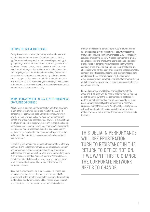#### *SETTING THE SCENE FOR CHANGE*

*Enterprise networks are complex and expensive to implement and run. Multiple comms rooms of spaghetti junction cabling typifies many business premises. But networking technology is going through a dramatic transformation, driven by software and automation driving convergence of network functions. There is also dramatic change to the traditional network backbone, fixed circuits giving way to internet-based connectivity. These factors strive to drive down cost, and increase agility, providing flexible services aligned to the business needs. Network uptime is giving way to assurance of network quality, and flexibility of connectivity is mandatory for a business required to support hybrid work, cloud computing and vigilant cyber security.*

#### *WORK FROM ANYWHERE, AT SCALE, WITH PHENOMENAL CONSUMER EXPERIENCE*

*Whilst always a requirement, the concept of work from anywhere is now different than ever before as a result of the COVID-19 pandemic. For users whom their workstyle permits, work from anywhere (home) is compelling for their own preference and benefit, and critically, an accepted mode of work. This is creating a multitude of impacts to the network, not only to enable and equip users to connect (securely!) from home or public WiFi to corporate resources via remote access solutions, but also the impact on existing corporate networks that are now much less utilised, but still represent a material business investment and operational cost to maintain.* 

*To enable hybrid working has required a transformation in the way users work and collaborate, from primarily physical collaboration and asynchronous digital communication, to real time, virtual collaboration and communication, often over longer working hours. Much of the day is spent on Microsoft Teams or Zoom video calls. Even the traditional phone call has given way to video calling - all of which has added huge additional load onto internet and corporate networks.*

*Since this is a new normal , we must reconsider the mode and principles of remote access. The notion of a traditional VPN, tunnelling all traffic from the client to the corporate data center is outdated in a world where users and businesses rely on internet based services – perhaps even more so than services hosted* 

*from on premises data centers. "Zero Trust" is a fundamental operating principle in the face of cyber security threats from every angle (and Zero Trust Network Access (ZTNA) connectivity solutions are evolving legacy VPN based approaches to greatly enhance security and improve the user experience. Traditional architectures of corporate resource access from within the company office, protected by perimeter security solutions are challenged when neither users or applications exist only in static, company owned locations. This dynamic, location independent employee or IT user behaviour is driving the adoption of alternative convergent networking and security frameworks such as SASE as an alternative mode for remote access and enterprise operational security.*

*Knowledge workers are able (and starting) to return to the office and this brings with it a need to cater for remote working and office working with the requirement and expectation for performant rich collaboration and inherent security. For many users currently the reality is the performance of home WiFi surpasses that of the corporate WiFi. This delta in performance will see frustration turn to resistance in the return to office motion. If we want this to change, the corporate network needs to change.*

*THIS DELTA IN PERFORMANCE WILL SEE FRUSTRATION TURN TO RESISTANCE IN THE RETURN TO OFFICE MOTION. IF WE WANT THIS TO CHANGE, THE CORPORATE NETWORK NEEDS TO CHANGE.*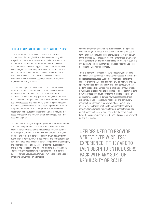### *FUTURE READY CAMPUS AND CORPORATE NETWORKS*

*Current corporate office networks are relics of the prepandemic era. For many WiFi is the default connectivity, which is a positive, but the networks are not scaled for the bandwidth and performance demands of today and tomorrow. We see this in pixelated video and sluggish speech of our office based colleagues, highly frustrating and ironic for those at home on consumer grade broadband which seems to deliver a better experience. Offices need to provide a "best ever wireless" experience if they are to even begin to entice users back with any sort of regularity or scale.*

*Consumption of public cloud resources is also dramatically different now than it was two years ago. Not just collaboration technologies but a transition to public cloud IaaS and SaaS resources has been underway quietly for many years – and this too accelerated during the pandemic era to underpin or enhance business processes. The stark reality is that in a post pandemic era, many businesses accept that office usage will not return to pre-pandemic levels, so office footprints are and will shrink. Rather than being burdened with expensive fixed lines, internet based connectivity and software driven solutions (SD-WAN) are becoming popular.*

*Cost reduction is always a key priority, ever more so with stagnated IT budgets, so operational efficiencies must be delivered. We see this in the network with the shift towards software defined networks (SDN), moving from complex configuration on physical switches and routers to centralised policy driven networks with automation at its core. Network deployment and configuration can be administered and pushed out centrally regardless of geography, and policy adherence and vulnerability controls supported by artificial intelligence (AI) and machine learning (ML) technology. The concept of AIOps is starting to come to the fore in several guises – DevOps, SecOps, CloudNetOps – which are changing and enhancing network operating models.*

*Another factor that is consuming attention is 5G. Though early in its maturity, and limited in availability, what was promised in terms of its throughput and low latency looks like it may deliver in the practice. 5G connectivity for some enterprises is worthy of active consideration and the major telco's are looking to push this out quickly to capture the market, perhaps before the use case, benefit and ROI is fully understood.* 

*There is a potential use case for 5G to support hybrid working, enabling always connected remote workers access to the internet and corporate resources. But perhaps more appealing is the concept of private 5G across a campus environment. A private 5G spectrum across a geographically dispersed campus with the performance and latency benefits is enticing and may provide a new solution to assist with the challenge of legacy debt in existing network infrastructures, or provide the marriage of flexibility and performance to help develop new business ideas. There are particular use cases around healthcare and particularly manufacturing that are in active evaluation – particularly relevant for the transformation of Operational Technology (OT) infrastructures towards industry standard connectivity, and to unlock opportunities in IoT and Edge within the campus and beyond. The opportunity for 5G in IOT and Edge is a topic worthy of its own discussion.*

*OFFICES NEED TO PROVIDE A "BEST EVER WIRELESS" EXPERIENCE IF THEY ARE TO EVEN BEGIN TO ENTICE USERS BACK WITH ANY SORT OF REGULARITY OR SCALE.*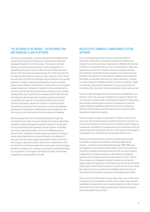#### *THE NETWORK OF NETWORKS – INTERCONNECTING AND MANAGING CLOUD PLATFORMS*

*As public cloud emerged, corporate internet links enabled simple connectivity to these cloud resources, inadvertently helping to propagate shadow IT and other issues. There was a dramatic stand-up of cloud resources without much consideration of networking (let alone a range of other factors!). Whilst the initial set up of the cloud resource seemed easy, the reality was that the architecture was highly sub-optimal, often insecure, and for those services that survived the challenge of scaling became very quickly apparent. A modern enterprise will typically consume multiple public clouds, whether infrastructure or SaaS, and so the corporate network becomes a "network of networks" interconnected by the common internet. But each environment will have its own network configuration, each requiring some degree of administration and management. Businesses have complex competing demands to evaluate and trade off- the benefit and efficiency of native solutions and tooling, versus the case for a 3rd party solution to provide an abstraction from cloud lock-in, and to standardise processes for deployment, configuration and management. But this may come at incremental cost and introduce complexity.*

*Having wrestled with some of these challenges through the virtualisation era, when compute, storage and network disciplines needed to collaborate together, we have matured in recent years to bring engineering and operations closer together via DevOps and similar operating models, such as CloudNetOps which is relevant here. Convergence of technology is pushing (or forcing!) teams closer together to be more effectively in the delivery of services, and have wider spatial awareness of other parts of the technology or operational stack. Automation is imperative in this environment, and we have observed in recent years the technology providers changing from a stance of proprietary closed technology to a recognition of the need to work within broader multi-vendor ecosystems, enabled by APIs and code.* 

#### *BIGGER STEPS TOWARDS A TRANSFORMED FUTURE NETWORK*

*For a lot of businesses there can be no doubt that there is significant "heavy lifting" required to ready and transform the network for current and future requirements. Whether this has the mindshare or investment focus or not, the demands for great user experience, performant consumer access to business services and the driver and benefit of cloud adoption are critical business priorities. The network is at the heart of realising those outcomes. And whilst occasionally referred to as "digital plumbing", perhaps a crude analogy, the metaphor works in so much as whilst it might not instantly capture the imagination for focus and priority, the criticality of the "plumbing" is well understood. So then we must act.*

*There are other emerging themes that warrant consideration and mention. First is the concept of "Network as a Service" (NaaS). The "as a Service" concept is well understood and applied to networking technologies creates opportunities for businesses to consume modern network capabilities without the financial challenges that the transformative activities above would introduce a with downstream operational upside.* 

*There are clearly a range of scenarios for a "NaaS" solution, from the purist, cloud model requiring significant technical maturity, to a commercial and service construct around traditional technology as an extension of traditional managed service arrangements. As is the general argument, the benefit case for "aaS" may suit some types of organisations, but there will also be many for which it won't.* 

*Moving forward toward future network transformations leads to another concept gaining traction and being hyped by the vendors – that being "Intent Based Networking" (IBN). IBN would pull together some of the principles above in terms of automation, cloud and intelligent technologies like AI and ML to action network configuration and policy based on understanding the desired outcome of the network consumer (user, device, or other "thing"). This concept of an intelligent, dynamic network which has the agility, speed and assurance to anticipate and react to the demands placed upon it with limited constraint is a vision for the future where the network becomes invisible and intelligent and at the heart of technology driven business processes and engagement models.* 

*There is a lot to do from where we are today. How much of this vision is required for your business, and how we can better align network capability and outcomes to your business agenda in order to secure the investment in technology and operations required to support continued growth and success?*